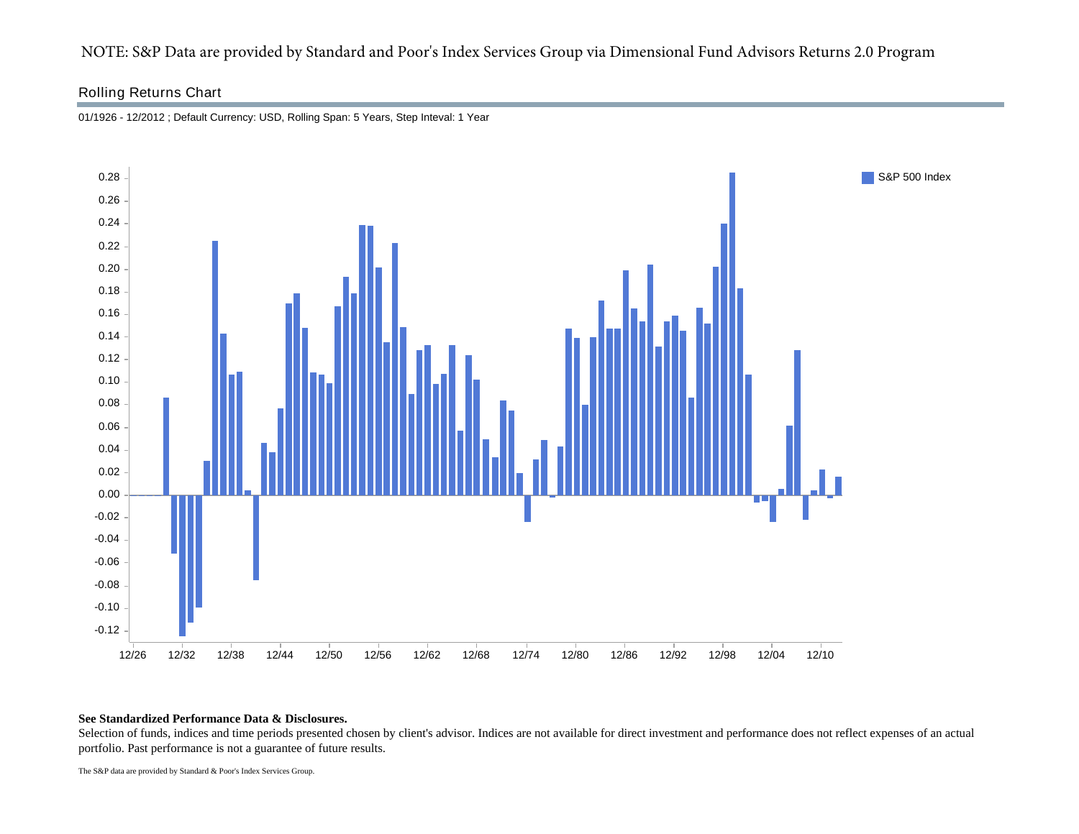# NOTE: S&P Data are provided by Standard and Poor's Index Services Group via Dimensional Fund Advisors Returns 2.0 Program

## Rolling Returns Chart



01/1926 - 12/2012 ; Default Currency: USD, Rolling Span: 5 Years, Step Inteval: 1 Year

### **See Standardized Performance Data & Disclosures.**

Selection of funds, indices and time periods presented chosen by client's advisor. Indices are not available for direct investment and performance does not reflect expenses of an actual portfolio. Past performance is not a guarantee of future results.

The S&P data are provided by Standard & Poor's Index Services Group.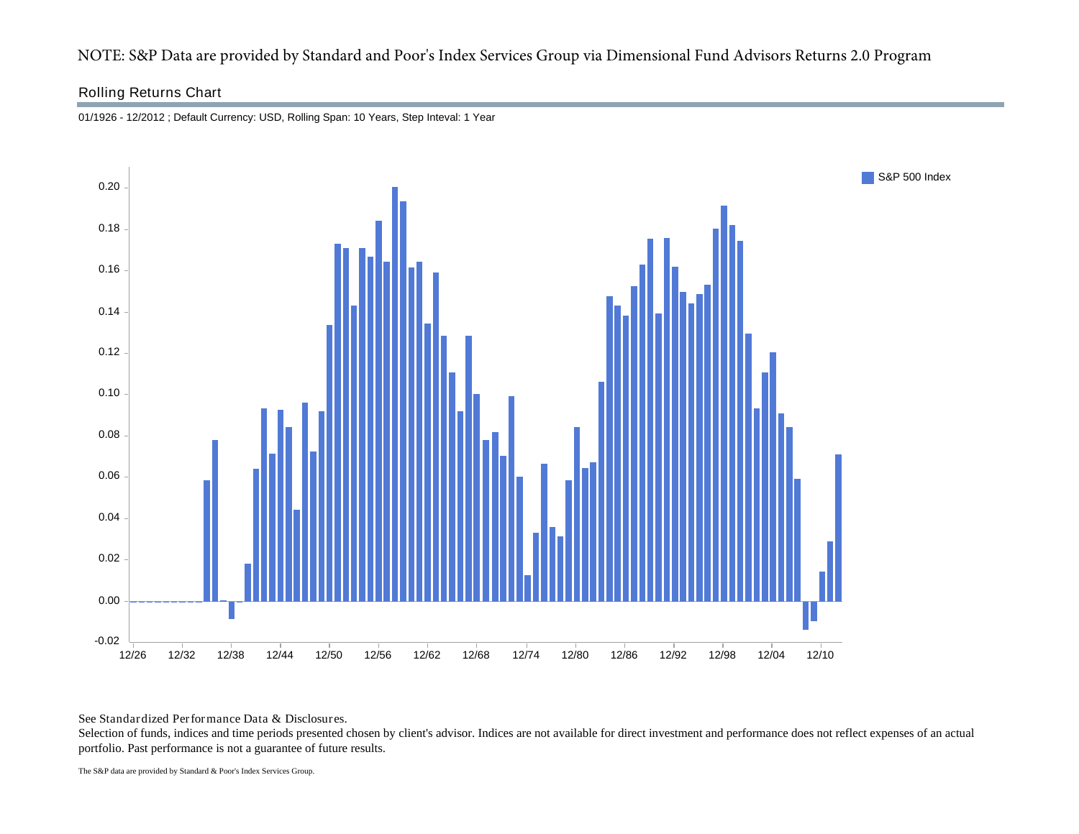# NOTE: S&P Data are provided by Standard and Poor's Index Services Group via Dimensional Fund Advisors Returns 2.0 Program

## Rolling Returns Chart



01/1926 - 12/2012 ; Default Currency: USD, Rolling Span: 10 Years, Step Inteval: 1 Year

See Standardized Performance Data & Disclosures.

Selection of funds, indices and time periods presented chosen by client's advisor. Indices are not available for direct investment and performance does not reflect expenses of an actual portfolio. Past performance is not a guarantee of future results.

The S&P data are provided by Standard & Poor's Index Services Group.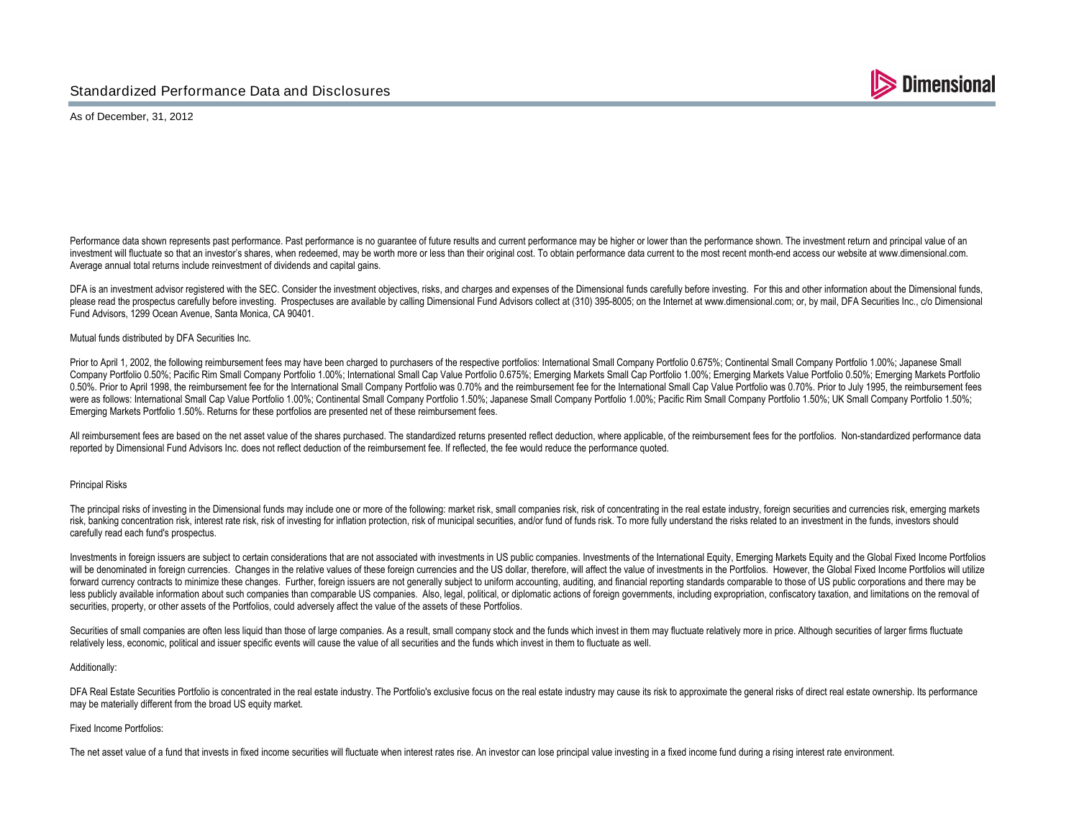

As of December, 31, 2012

Performance data shown represents past performance. Past performance is no quarantee of future results and current performance may be higher or lower than the performance shown. The investment return and principal value of investment will fluctuate so that an investor's shares, when redeemed, may be worth more or less than their original cost. To obtain performance data current to the most recent month-end access our website at www.dimension Average annual total returns include reinvestment of dividends and capital gains.

DFA is an investment advisor registered with the SEC. Consider the investment objectives, risks, and charges and expenses of the Dimensional funds carefully before investing. For this and other information about the Dimens please read the prospectus carefully before investing. Prospectuses are available by calling Dimensional Fund Advisors collect at (310) 395-8005; on the Internet at www.dimensional.com; or, by mail. DFA Securities Inc., c/ Fund Advisors, 1299 Ocean Avenue, Santa Monica, CA 90401.

#### Mutual funds distributed by DFA Securities Inc.

Prior to April 1, 2002, the following reimbursement fees may have been charged to purchasers of the respective portfolios: International Small Company Portfolio 0.675%; Continental Small Company Portfolio 1.00%; Japanese S Company Portfolio 0.50%; Pacific Rim Small Company Portfolio 1.00%; International Small Cap Value Portfolio 0.675%; Emerging Markets Small Cap Portfolio 1.00%; Emerging Markets Value Portfolio 0.50%; Emerging Markets Value 0.50%. Prior to April 1998, the reimbursement fee for the International Small Company Portfolio was 0.70% and the reimbursement fee for the International Small Cap Value Portfolio was 0.70%. Prior to July 1995, the reimbur were as follows: International Small Cap Value Portfolio 1.00%; Continental Small Company Portfolio 1.50%; Japanese Small Company Portfolio 1.00%; Pacific Rim Small Company Portfolio 1.50%; UK Small Company Portfolio 1.50% Emerging Markets Portfolio 1.50%. Returns for these portfolios are presented net of these reimbursement fees.

All reimbursement fees are based on the net asset value of the shares purchased. The standardized returns presented reflect deduction, where applicable, of the reimbursement fees for the portfolios. Non-standardized perfor reported by Dimensional Fund Advisors Inc. does not reflect deduction of the reimbursement fee. If reflected, the fee would reduce the performance quoted.

#### Principal Risks

The principal risks of investing in the Dimensional funds may include one or more of the following: market risk, small companies risk, risk of concentrating in the real estate industry, foreign securities and currencies ri risk, banking concentration risk, interest rate risk, risk of investing for inflation protection, risk of municipal securities, and/or fund of funds risk. To more fully understand the risks related to an investment in the carefully read each fund's prospectus.

Investments in foreign issuers are subject to certain considerations that are not associated with investments in US public companies. Investments of the International Equity, Emerging Markets Equity and the Global Fixed In will be denominated in foreign currencies. Changes in the relative values of these foreign currencies and the US dollar, therefore, will affect the value of investments in the Portfolios. However, the Global Fixed Income P forward currency contracts to minimize these changes. Further, foreign issuers are not generally subject to uniform accounting, auditing, and financial reporting standards comparable to those of US public corporations and less publicly available information about such companies than comparable US companies. Also, legal, political, or diplomatic actions of foreign governments, including expropriation, confiscatory taxation, and limitations o securities, property, or other assets of the Portfolios, could adversely affect the value of the assets of these Portfolios.

Securities of small companies are often less liquid than those of large companies. As a result, small company stock and the funds which invest in them may fluctuate relatively more in price. Although securities of larger f relatively less, economic, political and issuer specific events will cause the value of all securities and the funds which invest in them to fluctuate as well.

#### Additionally:

DFA Real Estate Securities Portfolio is concentrated in the real estate industry. The Portfolio's exclusive focus on the real estate industry may cause its risk to approximate the general risks of direct real estate owners may be materially different from the broad US equity market.

#### Fixed Income Portfolios:

The net asset value of a fund that invests in fixed income securities will fluctuate when interest rates rise. An investor can lose principal value investing in a fixed income fund during a rising interest rate environment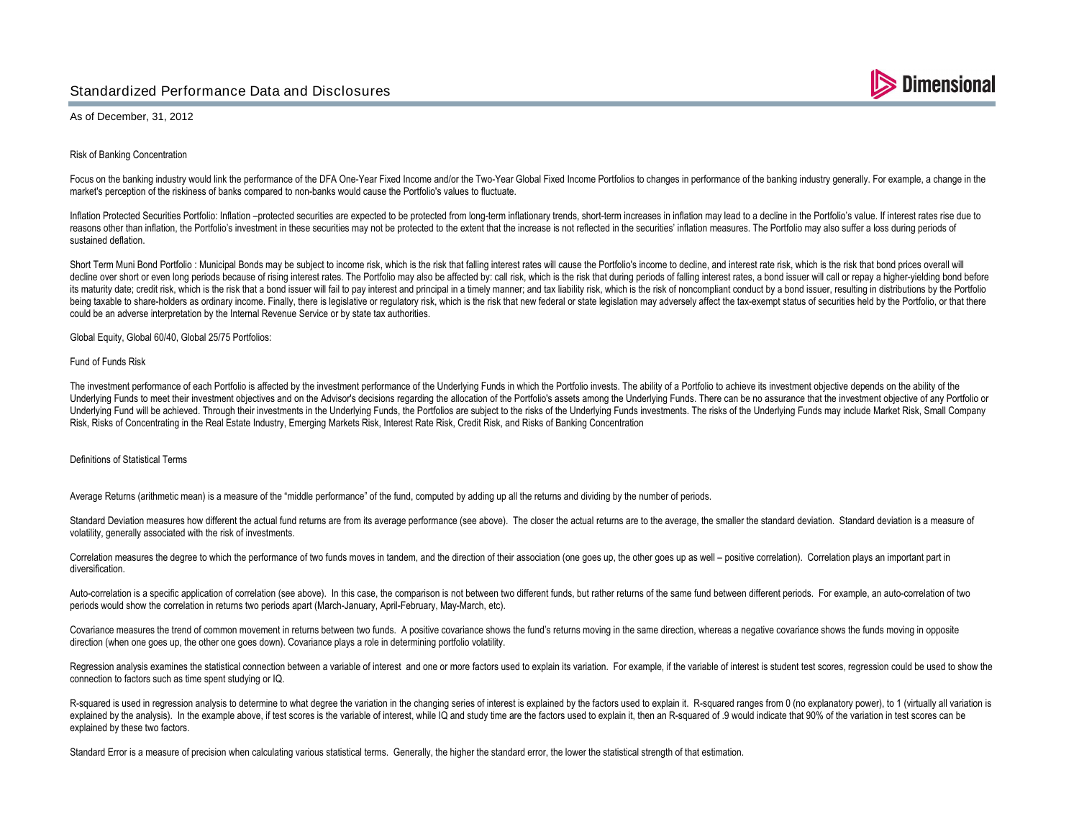## Standardized Performance Data and Disclosures



As of December, 31, 2012

Risk of Banking Concentration

Focus on the banking industry would link the performance of the DFA One-Year Fixed Income and/or the Two-Year Global Fixed Income Portfolios to changes in performance of the banking industry generally. For example, a chang market's perception of the riskiness of banks compared to non-banks would cause the Portfolio's values to fluctuate.

Inflation Protected Securities Portfolio: Inflation -protected securities are expected to be protected from long-term inflationary trends, short-term increases in inflation may lead to a decline in the Portfolio's value. I reasons other than inflation, the Portfolio's investment in these securities may not be protected to the extent that the increase is not reflected in the securities' inflation measures. The Portfolio may also suffer a loss sustained deflation.

Short Term Muni Bond Portfolio : Municipal Bonds may be subject to income risk, which is the risk that falling interest rates will cause the Portfolio's income to decline, and interest rate risk, which is the risk that bon decline over short or even long periods because of rising interest rates. The Portfolio may also be affected by: call risk, which is the risk that during periods of falling interest rates, a bond issuer will call or repay its maturity date; credit risk, which is the risk that a bond issuer will fail to pay interest and principal in a timely manner; and tax liability risk, which is the risk of noncompliant conduct by a bond issuer, resulting being taxable to share-holders as ordinary income. Finally, there is legislative or regulatory risk, which is the risk that new federal or state legislation may adversely affect the tax-exempt status of securities held by could be an adverse interpretation by the Internal Revenue Service or by state tax authorities.

Global Equity, Global 60/40, Global 25/75 Portfolios:

#### Fund of Funds Risk

The investment performance of each Portfolio is affected by the investment performance of the Underlying Funds in which the Portfolio invests. The ability of a Portfolio io achieve its investment objective depends on the a Underlying Funds to meet their investment objectives and on the Advisor's decisions regarding the allocation of the Portfolio's assets among the Underlying Funds. There can be no assurance that the investment objective of Underlying Fund will be achieved. Through their investments in the Underlying Funds, the Portfolios are subject to the risks of the Underlying Funds investments. The risks of the Underlying Funds inversed and the Underlyin Risk, Risks of Concentrating in the Real Estate Industry, Emerging Markets Risk, Interest Rate Risk, Credit Risk, and Risks of Banking Concentration

#### Definitions of Statistical Terms

Average Returns (arithmetic mean) is a measure of the "middle performance" of the fund, computed by adding up all the returns and dividing by the number of periods.

Standard Deviation measures how different the actual fund returns are from its average performance (see above). The closer the actual returns are to the average, the smaller the standard deviation. Standard deviation is a volatility, generally associated with the risk of investments.

Correlation measures the degree to which the performance of two funds moves in tandem, and the direction of their association (one goes up, the other goes up as well - positive correlation). Correlation plays an important diversification.

Auto-correlation is a specific application of correlation (see above). In this case, the comparison is not between two different funds, but rather returns of the same fund between different periods. For example, an auto-co periods would show the correlation in returns two periods apart (March-January, April-February, May-March, etc).

Covariance measures the trend of common movement in returns between two funds. A positive covariance shows the fund's returns moving in the same direction, whereas a negative covariance shows the funds moving in opposite direction (when one goes up, the other one goes down). Covariance plays a role in determining portfolio volatility.

Regression analysis examines the statistical connection between a variable of interest and one or more factors used to explain its variation. For example, if the variable of interest is student test scores, regression coul connection to factors such as time spent studying or IQ.

R-squared is used in regression analysis to determine to what degree the variation in the changing series of interest is explained by the factors used to explain it. R-squared ranges from 0 (no explanatory power), to 1 (vi explained by the analysis). In the example above, if test scores is the variable of interest, while IQ and study time are the factors used to explain it, then an R-squared of 9 would indicate that 90% of the variation in t explained by these two factors.

Standard Error is a measure of precision when calculating various statistical terms. Generally, the higher the standard error, the lower the statistical strength of that estimation.